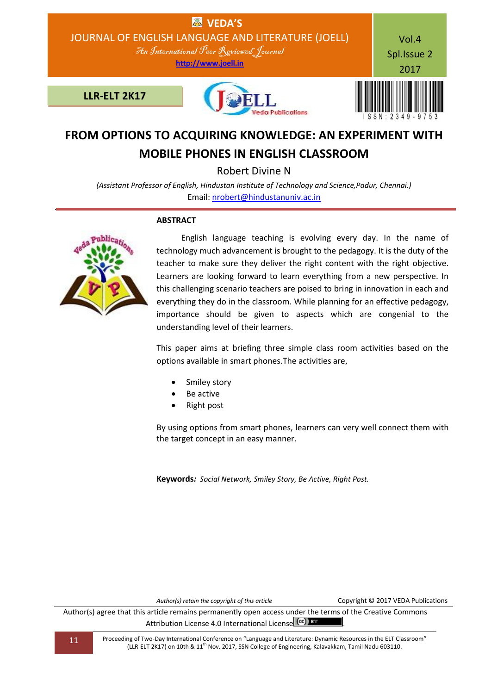

# **FROM OPTIONS TO ACQUIRING KNOWLEDGE: AN EXPERIMENT WITH MOBILE PHONES IN ENGLISH CLASSROOM**

Robert Divine N

*(Assistant Professor of English, Hindustan Institute of Technology and Science,Padur, Chennai.)* Email: [nrobert@hindustanuniv.ac.in](mailto:nrobert@hindustanuniv.ac.in)

## **ABSTRACT**



 English language teaching is evolving every day. In the name of technology much advancement is brought to the pedagogy. It is the duty of the teacher to make sure they deliver the right content with the right objective. Learners are looking forward to learn everything from a new perspective. In this challenging scenario teachers are poised to bring in innovation in each and everything they do in the classroom. While planning for an effective pedagogy, importance should be given to aspects which are congenial to the understanding level of their learners.

This paper aims at briefing three simple class room activities based on the options available in smart phones.The activities are,

- Smiley story
- Be active
- Right post

By using options from smart phones, learners can very well connect them with the target concept in an easy manner.

**Keywords***: Social Network, Smiley Story, Be Active, Right Post.*

*Author(s) retain the copyright of this article* Copyright © 2017 VEDA Publications

Author(s) agree that this article remains permanently open access under the terms of the Creative Commons Attribution License 4.0 International License (cc) BY

11 Proceeding of Two-Day International Conference on "Language and Literature: Dynamic Resources in the ELT Classroom" (LLR-ELT 2K17) on 10th & 11<sup>th</sup> Nov. 2017, SSN College of Engineering, Kalavakkam, Tamil Nadu 603110.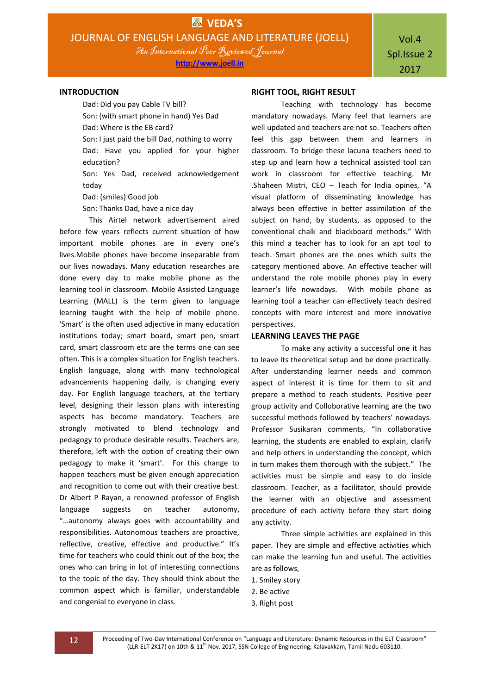## Vol.4 Spl.Issue 2 2017

#### **INTRODUCTION**

Dad: Did you pay Cable TV bill? Son: (with smart phone in hand) Yes Dad Dad: Where is the EB card? Son: I just paid the bill Dad, nothing to worry Dad: Have you applied for your higher education?

Son: Yes Dad, received acknowledgement today

Dad: (smiles) Good job

Son: Thanks Dad, have a nice day

This Airtel network advertisement aired before few years reflects current situation of how important mobile phones are in every one's lives.Mobile phones have become inseparable from our lives nowadays. Many education researches are done every day to make mobile phone as the learning tool in classroom. Mobile Assisted Language Learning (MALL) is the term given to language learning taught with the help of mobile phone. 'Smart' is the often used adjective in many education institutions today; smart board, smart pen, smart card, smart classroom etc are the terms one can see often. This is a complex situation for English teachers. English language, along with many technological advancements happening daily, is changing every day. For English language teachers, at the tertiary level, designing their lesson plans with interesting aspects has become mandatory. Teachers are strongly motivated to blend technology and pedagogy to produce desirable results. Teachers are, therefore, left with the option of creating their own pedagogy to make it 'smart'. For this change to happen teachers must be given enough appreciation and recognition to come out with their creative best. Dr Albert P Rayan, a renowned professor of English language suggests on teacher autonomy, "…autonomy always goes with accountability and responsibilities. Autonomous teachers are proactive, reflective, creative, effective and productive." It's time for teachers who could think out of the box; the ones who can bring in lot of interesting connections to the topic of the day. They should think about the common aspect which is familiar, understandable and congenial to everyone in class.

#### **RIGHT TOOL, RIGHT RESULT**

Teaching with technology has become mandatory nowadays. Many feel that learners are well updated and teachers are not so. Teachers often feel this gap between them and learners in classroom. To bridge these lacuna teachers need to step up and learn how a technical assisted tool can work in classroom for effective teaching. Mr .Shaheen Mistri, CEO – Teach for India opines, "A visual platform of disseminating knowledge has always been effective in better assimilation of the subject on hand, by students, as opposed to the conventional chalk and blackboard methods." With this mind a teacher has to look for an apt tool to teach. Smart phones are the ones which suits the category mentioned above. An effective teacher will understand the role mobile phones play in every learner's life nowadays. With mobile phone as learning tool a teacher can effectively teach desired concepts with more interest and more innovative perspectives.

#### **LEARNING LEAVES THE PAGE**

To make any activity a successful one it has to leave its theoretical setup and be done practically. After understanding learner needs and common aspect of interest it is time for them to sit and prepare a method to reach students. Positive peer group activity and Colloborative learning are the two successful methods followed by teachers' nowadays. Professor Susikaran comments, "In collaborative learning, the students are enabled to explain, clarify and help others in understanding the concept, which in turn makes them thorough with the subject." The activities must be simple and easy to do inside classroom. Teacher, as a facilitator, should provide the learner with an objective and assessment procedure of each activity before they start doing any activity.

Three simple activities are explained in this paper. They are simple and effective activities which can make the learning fun and useful. The activities are as follows,

- 1. Smiley story
- 2. Be active
- 3. Right post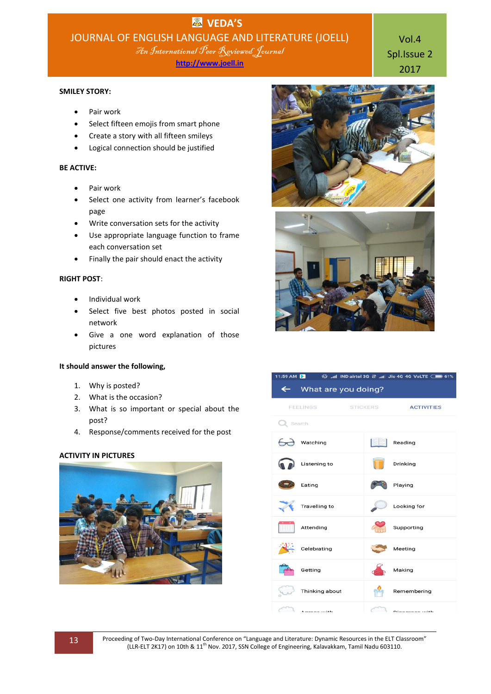**http://www.joell.in**

### **SMILEY STORY:**

- Pair work
- Select fifteen emojis from smart phone
- Create a story with all fifteen smileys
- Logical connection should be justified

## **BE ACTIVE:**

- Pair work
- Select one activity from learner's facebook page
- Write conversation sets for the activity
- Use appropriate language function to frame each conversation set
- Finally the pair should enact the activity

#### **RIGHT POST**:

- Individual work
- Select five best photos posted in social network
- Give a one word explanation of those pictures

## **It should answer the following,**

- 1. Why is posted?
- 2. What is the occasion?
- 3. What is so important or special about the post?
- 4. Response/comments received for the post

## **ACTIVITY IN PICTURES**





Vol.4 Spl.Issue 2 2017



| ← What are you doing?                                            |                 |                                                                                      |
|------------------------------------------------------------------|-----------------|--------------------------------------------------------------------------------------|
| <b>FEELINGS</b>                                                  | <b>STICKERS</b> | <b>ACTIVITIES</b>                                                                    |
| Q Search                                                         |                 |                                                                                      |
| watching                                                         |                 | Reading                                                                              |
| Listening to                                                     |                 | Drinking                                                                             |
| Eating                                                           |                 | Playing                                                                              |
| Travelling to                                                    |                 | Looking for                                                                          |
| Attending                                                        |                 | Supporting                                                                           |
| Celebrating                                                      |                 | Meeting                                                                              |
| Getting                                                          |                 | Making                                                                               |
| Thinking about                                                   |                 | Remembering                                                                          |
| $\begin{array}{ccc} \hline \hline \end{array}$ A compact subtlet |                 | $\begin{array}{ccc} \begin{array}{ccc} \begin{array}{ccc} \end{array} & \end{array}$ |

 $\%$  and IND airtel 3G 41 and Jio 4G 4G VoLTE  $\Box$  61%

13 Proceeding of Two-Day International Conference on "Language and Literature: Dynamic Resources in the ELT Classroom" (LLR-ELT 2K17) on 10th & 11th Nov. 2017, SSN College of Engineering, Kalavakkam, Tamil Nadu 603110.

11:59 AM